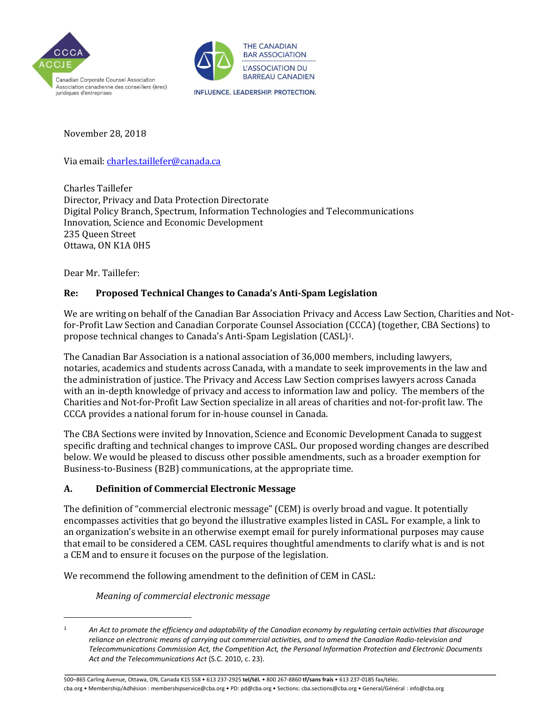



November 28, 2018

Via email[: charles.taillefer@canada.ca](mailto:charles.taillefer@canada.ca)

Charles Taillefer Director, Privacy and Data Protection Directorate Digital Policy Branch, Spectrum, Information Technologies and Telecommunications Innovation, Science and Economic Development 235 Queen Street Ottawa, ON K1A 0H5

Dear Mr. Taillefer:

 $\overline{a}$ 

### **Re: Proposed Technical Changes to Canada's Anti-Spam Legislation**

We are writing on behalf of the Canadian Bar Association Privacy and Access Law Section, Charities and Notfor-Profit Law Section and Canadian Corporate Counsel Association (CCCA) (together, CBA Sections) to propose technical changes to Canada's Anti-Spam Legislation (CASL)1.

The Canadian Bar Association is a national association of 36,000 members, including lawyers, notaries, academics and students across Canada, with a mandate to seek improvements in the law and the administration of justice. The Privacy and Access Law Section comprises lawyers across Canada with an in-depth knowledge of privacy and access to information law and policy. The members of the Charities and Not-for-Profit Law Section specialize in all areas of charities and not-for-profit law. The CCCA provides a national forum for in-house counsel in Canada.

The CBA Sections were invited by Innovation, Science and Economic Development Canada to suggest specific drafting and technical changes to improve CASL. Our proposed wording changes are described below. We would be pleased to discuss other possible amendments, such as a broader exemption for Business-to-Business (B2B) communications, at the appropriate time.

### **A. Definition of Commercial Electronic Message**

The definition of "commercial electronic message" (CEM) is overly broad and vague. It potentially encompasses activities that go beyond the illustrative examples listed in CASL. For example, a link to an organization's website in an otherwise exempt email for purely informational purposes may cause that email to be considered a CEM. CASL requires thoughtful amendments to clarify what is and is not a CEM and to ensure it focuses on the purpose of the legislation.

We recommend the following amendment to the definition of CEM in CASL:

*Meaning of commercial electronic message*

500–865 Carling Avenue, Ottawa, ON, Canada K1S 5S8 • 613 237-2925 **tel/tél.** • 800 267-8860 **tf/sans frais** • 613 237-0185 fax/téléc. cba.org • Membership/Adhésion : membershipservice@cba.org • PD: pd@cba.org • Sections: cba.sections@cba.org • General/Général : info@cba.org

<sup>1</sup> *An Act to promote the efficiency and adaptability of the Canadian economy by regulating certain activities that discourage reliance on electronic means of carrying out commercial activities, and to amend the Canadian Radio-television and Telecommunications Commission Act, the Competition Act, the Personal Information Protection and Electronic Documents Act and the Telecommunications Act* (S.C. 2010, c. 23).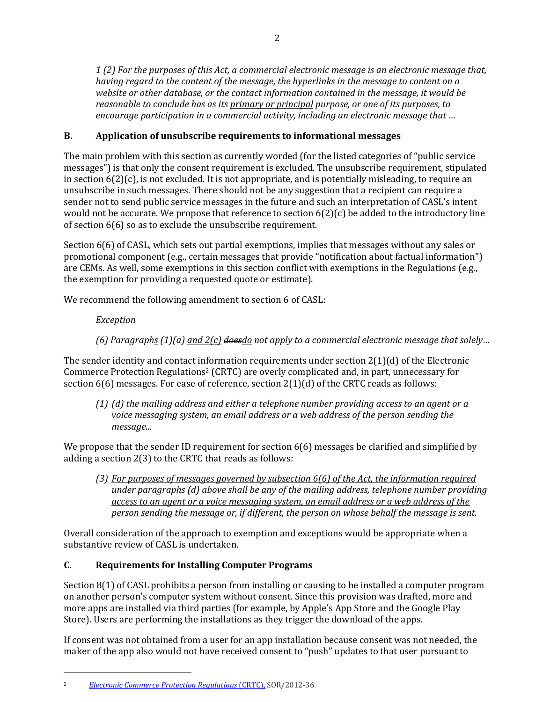1(2) For the purposes of this Act, a commercial electronic message is an electronic message that, *having regard to the content of the message, the hyperlinks in the message to content on a website or other database, or the contact information contained in the message, it would be*  reasonable to conclude has as its primary or principal purpose<del>, or one of its purposes,</del> to encourage participation in a commercial activity, including an electronic message that ...

## **B. Application of unsubscribe requirements to informational messages**

The main problem with this section as currently worded (for the listed categories of "public service messages") is that only the consent requirement is excluded. The unsubscribe requirement, stipulated in section 6(2)(c), is not excluded. It is not appropriate, and is potentially misleading, to require an unsubscribe in such messages. There should not be any suggestion that a recipient can require a sender not to send public service messages in the future and such an interpretation of CASL's intent would not be accurate. We propose that reference to section  $6(2)(c)$  be added to the introductory line of section 6(6) so as to exclude the unsubscribe requirement.

Section 6(6) of CASL, which sets out partial exemptions, implies that messages without any sales or promotional component (e.g., certain messages that provide "notification about factual information") are CEMs. As well, some exemptions in this section conflict with exemptions in the Regulations (e.g., the exemption for providing a requested quote or estimate).

We recommend the following amendment to section 6 of CASL:

## *Exception*

l

(6) Paragraphs (1)(a) and 2(c) doesdo not apply to a commercial electronic message that solely...

The sender identity and contact information requirements under section 2(1)(d) of the Electronic Commerce Protection Regulations<sup>2</sup> (CRTC) are overly complicated and, in part, unnecessary for section  $6(6)$  messages. For ease of reference, section  $2(1)(d)$  of the CRTC reads as follows:

 $(1)$  (d) the mailing address and either a telephone number providing access to an agent or a *voice messaging system, an email address or a web address of the person sending the message...* 

We propose that the sender ID requirement for section 6(6) messages be clarified and simplified by adding a section 2(3) to the CRTC that reads as follows:

(3) For purposes of messages governed by subsection  $6(6)$  of the Act, the information required under paragraphs (d) above shall be any of the mailing address, telephone number providing *access to an agent or a voice messaging system, an email address or a web address of the*  person sending the message or, if different, the person on whose behalf the message is sent.

Overall consideration of the approach to exemption and exceptions would be appropriate when a substantive review of CASL is undertaken.

## **C. Requirements for Installing Computer Programs**

Section 8(1) of CASL prohibits a person from installing or causing to be installed a computer program on another person's computer system without consent. Since this provision was drafted, more and more apps are installed via third parties (for example, by Apple's App Store and the Google Play Store). Users are performing the installations as they trigger the download of the apps.

If consent was not obtained from a user for an app installation because consent was not needed, the maker of the app also would not have received consent to "push" updates to that user pursuant to

<sup>2</sup> *Electronic Commerce Protection [Regulations](https://www.canlii.org/en/ca/laws/regu/sor-2012-36/latest/sor-2012-36.html?autocompleteStr=electronic%20commerce%20&autocompletePos=2)* (CRTC), SOR/2012-36.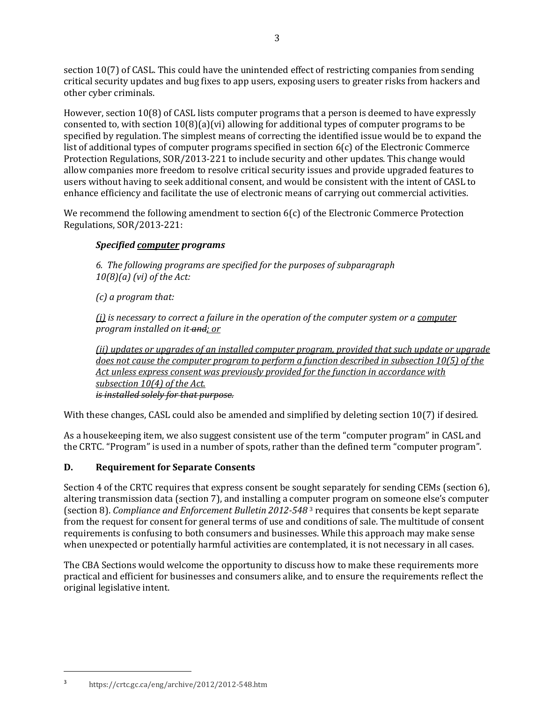section 10(7) of CASL. This could have the unintended effect of restricting companies from sending critical security updates and bug fixes to app users, exposing users to greater risks from hackers and other cyber criminals.

However, section 10(8) of CASL lists computer programs that a person is deemed to have expressly consented to, with section 10(8)(a)(vi) allowing for additional types of computer programs to be specified by regulation. The simplest means of correcting the identified issue would be to expand the list of additional types of computer programs specified in section 6(c) of the Electronic Commerce Protection Regulations, SOR/2013-221 to include security and other updates. This change would allow companies more freedom to resolve critical security issues and provide upgraded features to users without having to seek additional consent, and would be consistent with the intent of CASL to enhance efficiency and facilitate the use of electronic means of carrying out commercial activities.

We recommend the following amendment to section 6(c) of the Electronic Commerce Protection Regulations, SOR/2013-221:

## *Specified computer programs*

*6. The following programs are specified for the purposes of subparagraph 10(8)(a) (vi) of the Act:*

*(c) a program that:* 

(i) is necessary to correct a failure in the operation of the computer system or a computer *program installed on it and; or*

(ii) updates or upgrades of an installed computer program, provided that such update or upgrade does not cause the computer program to perform a function described in subsection 10(5) of the Act unless express consent was previously provided for the function in accordance with *subsection 10(4) of the Act. is installed solely for that purpose.*

With these changes, CASL could also be amended and simplified by deleting section 10(7) if desired*.*

As a housekeeping item, we also suggest consistent use of the term "computer program" in CASL and the CRTC. "Program" is used in a number of spots, rather than the defined term "computer program".

# **D. Requirement for Separate Consents**

Section 4 of the CRTC requires that express consent be sought separately for sending CEMs (section 6), altering transmission data (section 7), and installing a computer program on someone else's computer (section 8). *Compliance and Enforcement Bulletin 2012-548* <sup>3</sup> requires that consents be kept separate from the request for consent for general terms of use and conditions of sale. The multitude of consent requirements is confusing to both consumers and businesses. While this approach may make sense when unexpected or potentially harmful activities are contemplated, it is not necessary in all cases.

The CBA Sections would welcome the opportunity to discuss how to make these requirements more practical and efficient for businesses and consumers alike, and to ensure the requirements reflect the original legislative intent.

3 <https://crtc.gc.ca/eng/archive/2012/2012-548.htm>

 $\overline{\phantom{a}}$